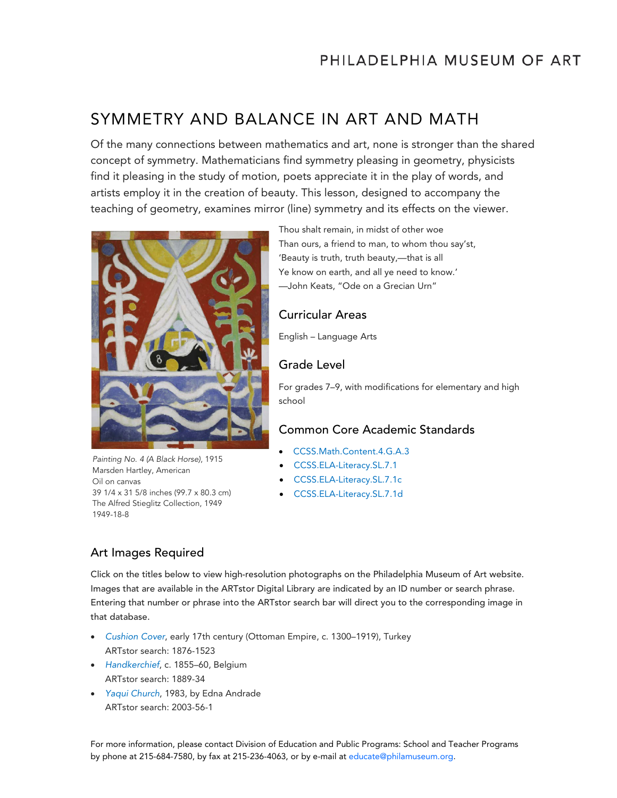# SYMMETRY AND BALANCE IN ART AND MATH

Of the many connections between mathematics and art, none is stronger than the shared concept of symmetry. Mathematicians find symmetry pleasing in geometry, physicists find it pleasing in the study of motion, poets appreciate it in the play of words, and artists employ it in the creation of beauty. This lesson, designed to accompany the teaching of geometry, examines mirror (line) symmetry and its effects on the viewer.



Painting No. 4 (A Black Horse), 1915 Marsden Hartley, American Oil on canvas 39 1/4 x 31 5/8 inches (99.7 x 80.3 cm) The Alfred Stieglitz Collection, 1949 1949-18-8

Thou shalt remain, in midst of other woe Than ours, a friend to man, to whom thou say'st, 'Beauty is truth, truth beauty,—that is all Ye know on earth, and all ye need to know.' —John Keats, "Ode on a Grecian Urn"

### Curricular Areas

English – Language Arts

### Grade Level

For grades 7–9, with modifications for elementary and high school

# Common Core Academic Standards

- [CCSS.Math.Content.4.G.A.3](http://www.corestandards.org/Math/Content/4/G/A/3)
- [CCSS.ELA-Literacy.SL.7.1](http://www.corestandards.org/ELA-Literacy/SL/7/1/)
- [CCSS.ELA-Literacy.SL.7.1c](http://www.corestandards.org/ELA-Literacy/SL/7/1/c/)
- [CCSS.ELA-Literacy.SL.7.1d](http://www.corestandards.org/ELA-Literacy/SL/7/1/d/)

# Art Images Required

Click on the titles below to view high-resolution photographs on the Philadelphia Museum of Art website. Images that are available in the ARTstor Digital Library are indicated by an ID number or search phrase. Entering that number or phrase into the ARTstor search bar will direct you to the corresponding image in that database.

- *[Cushion Cover](http://www.philamuseum.org/collections/permanent/108307.html?mulR=8856)*, early 17th century (Ottoman Empire, c. 1300–1919), Turkey ARTstor search: 1876-1523
- *[Handkerchief](http://www.philamuseum.org/collections/permanent/108177.html?mulR=25219)*, c. 1855–60, Belgium ARTstor search: 1889-34
- *[Yaqui Church](http://www.philamuseum.org/collections/permanent/260504.html?mulR=5231)*, 1983, by Edna Andrade ARTstor search: 2003-56-1

For more information, please contact Division of Education and Public Programs: School and Teacher Programs by phone at 215-684-7580, by fax at 215-236-4063, or by e-mail at [educate@philamuseum.org.](mailto:educate@philamuseum.org)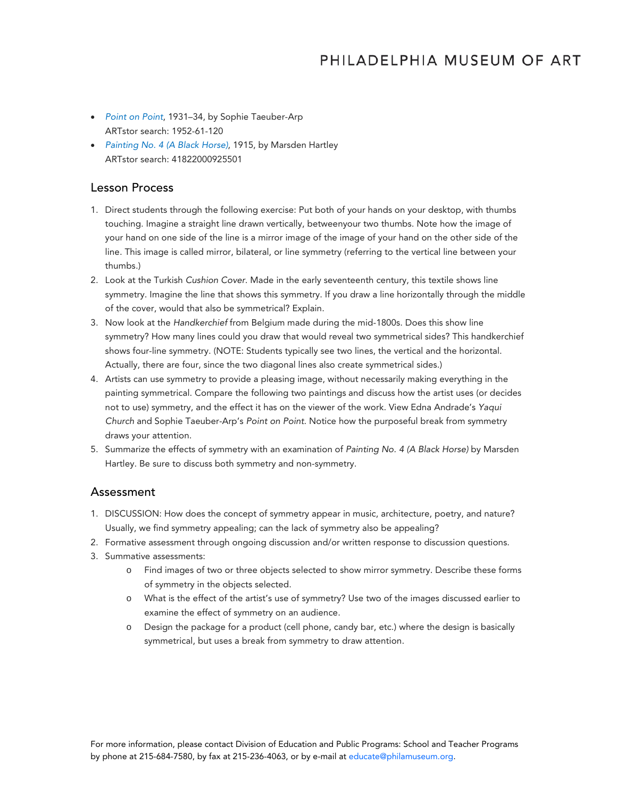# PHILADELPHIA MUSEUM OF ART

- *[Point on Point](http://www.philamuseum.org/collections/permanent/53867.html?mulR=30354)*, 1931–34, by Sophie Taeuber-Arp ARTstor search: 1952-61-120
- *[Painting No. 4 \(A Black Horse\)](http://www.philamuseum.org/collections/permanent/50703.html?mulR=12434)*, 1915, by Marsden Hartley ARTstor search: 41822000925501

#### Lesson Process

- 1. Direct students through the following exercise: Put both of your hands on your desktop, with thumbs touching. Imagine a straight line drawn vertically, betweenyour two thumbs. Note how the image of your hand on one side of the line is a mirror image of the image of your hand on the other side of the line. This image is called mirror, bilateral, or line symmetry (referring to the vertical line between your thumbs.)
- 2. Look at the Turkish *Cushion Cover*. Made in the early seventeenth century, this textile shows line symmetry. Imagine the line that shows this symmetry. If you draw a line horizontally through the middle of the cover, would that also be symmetrical? Explain.
- 3. Now look at the *Handkerchief* from Belgium made during the mid-1800s. Does this show line symmetry? How many lines could you draw that would reveal two symmetrical sides? This handkerchief shows four-line symmetry. (NOTE: Students typically see two lines, the vertical and the horizontal. Actually, there are four, since the two diagonal lines also create symmetrical sides.)
- 4. Artists can use symmetry to provide a pleasing image, without necessarily making everything in the painting symmetrical. Compare the following two paintings and discuss how the artist uses (or decides not to use) symmetry, and the effect it has on the viewer of the work. View Edna Andrade's *Yaqui Church* and Sophie Taeuber-Arp's *Point on Point*. Notice how the purposeful break from symmetry draws your attention.
- 5. Summarize the effects of symmetry with an examination of *Painting No. 4 (A Black Horse)* by Marsden Hartley. Be sure to discuss both symmetry and non-symmetry.

#### Assessment

- 1. DISCUSSION: How does the concept of symmetry appear in music, architecture, poetry, and nature? Usually, we find symmetry appealing; can the lack of symmetry also be appealing?
- 2. Formative assessment through ongoing discussion and/or written response to discussion questions.
- 3. Summative assessments:
	- o Find images of two or three objects selected to show mirror symmetry. Describe these forms of symmetry in the objects selected.
	- o What is the effect of the artist's use of symmetry? Use two of the images discussed earlier to examine the effect of symmetry on an audience.
	- o Design the package for a product (cell phone, candy bar, etc.) where the design is basically symmetrical, but uses a break from symmetry to draw attention.